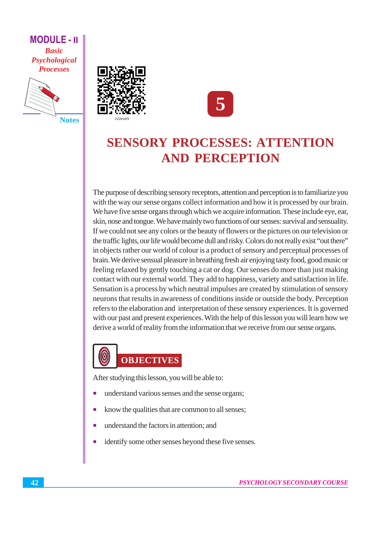#### **MODULE - II Basic** Psychological **Processes**



**Notes** 





## **SENSORY PROCESSES: ATTENTION AND PERCEPTION**

The purpose of describing sensory receptors, attention and perception is to familiarize you with the way our sense organs collect information and how it is processed by our brain. We have five sense organs through which we acquire information. These include eye, ear, skin, nose and tongue. We have mainly two functions of our senses: survival and sensuality. If we could not see any colors or the beauty of flowers or the pictures on our television or the traffic lights, our life would become dull and risky. Colors do not really exist "out there" in objects rather our world of colour is a product of sensory and perceptual processes of brain. We derive sensual pleasure in breathing fresh air enjoying tasty food, good music or feeling relaxed by gently touching a cat or dog. Our senses do more than just making contact with our external world. They add to happiness, variety and satisfaction in life. Sensation is a process by which neutral impulses are created by stimulation of sensory neurons that results in awareness of conditions inside or outside the body. Perception refers to the elaboration and interpretation of these sensory experiences. It is governed with our past and present experiences. With the help of this lesson you will learn how we derive a world of reality from the information that we receive from our sense organs.



After studying this lesson, you will be able to:

- understand various senses and the sense organs;
- know the qualities that are common to all senses;
- understand the factors in attention; and
- identify some other senses beyond these five senses.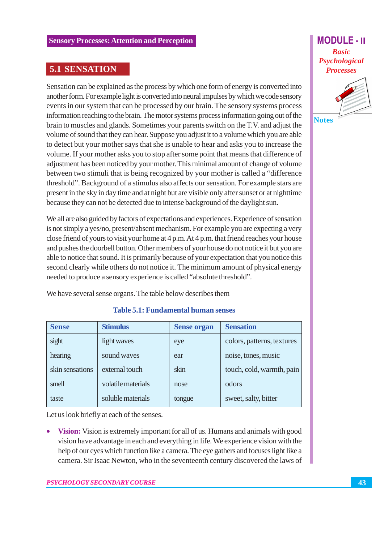## 5.1 SENSATION

Sensation can be explained as the process by which one form of energy is converted into another form. For example light is converted into neural impulses by which we code sensory events in our system that can be processed by our brain. The sensory systems process information reaching to the brain. The motor systems process information going out of the brain to muscles and glands. Sometimes your parents switch on the T.V. and adjust the volume of sound that they can hear. Suppose you adjust it to a volume which you are able to detect but your mother says that she is unable to hear and asks you to increase the volume. If your mother asks you to stop after some point that means that difference of adjustment has been noticed by your mother. This minimal amount of change of volume between two stimuli that is being recognized by your mother is called a "difference" threshold". Background of a stimulus also affects our sensation. For example stars are present in the sky in day time and at night but are visible only after sunset or at nighttime because they can not be detected due to intense background of the daylight sun.

We all are also guided by factors of expectations and experiences. Experience of sensation is not simply a yes/no, present/absent mechanism. For example you are expecting a very close friend of yours to visit your home at  $4 p.m. At 4 p.m.$  that friend reaches your house and pushes the doorbell button. Other members of your house do not notice it but you are able to notice that sound. It is primarily because of your expectation that you notice this second clearly while others do not notice it. The minimum amount of physical energy needed to produce a sensory experience is called "absolute threshold".

We have several sense organs. The table below describes them

| <b>Sense</b>    | <b>Stimulus</b>    | <b>Sense organ</b> | <b>Sensation</b>           |
|-----------------|--------------------|--------------------|----------------------------|
| sight           | light waves        | eye                | colors, patterns, textures |
| hearing         | sound waves        | ear                | noise, tones, music        |
| skin sensations | external touch     | skin               | touch, cold, warmth, pain  |
| smell           | volatile materials | nose               | odors                      |
| taste           | soluble materials  | tongue             | sweet, salty, bitter       |

#### **Table 5.1: Fundamental human senses**

Let us look briefly at each of the senses.

Vision: Vision is extremely important for all of us. Humans and animals with good vision have advantage in each and everything in life. We experience vision with the help of our eyes which function like a camera. The eye gathers and focuses light like a camera. Sir Isaac Newton, who in the seventeenth century discovered the laws of

# **Basic** Psychological **Processes**

**MODULE - II** 

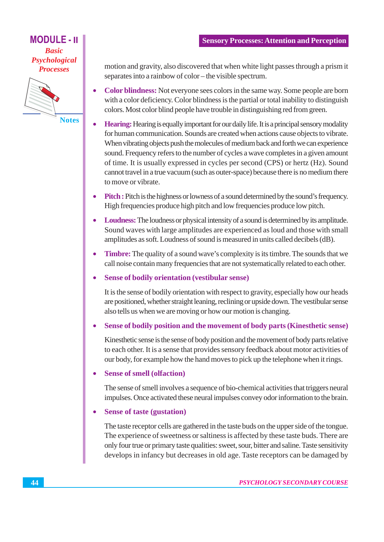#### **MODULE - II Basic** Psychological **Processes**



**Notes** 

motion and gravity, also discovered that when white light passes through a prism it separates into a rainbow of color – the visible spectrum.

- Color blindness: Not everyone sees colors in the same way. Some people are born  $\bullet$ with a color deficiency. Color blindness is the partial or total inability to distinguish colors. Most color blind people have trouble in distinguishing red from green.
- **Hearing:** Hearing is equally important for our daily life. It is a principal sensory modality  $\bullet$ for human communication. Sounds are created when actions cause objects to vibrate. When vibrating objects push the molecules of medium back and forth we can experience sound. Frequency refers to the number of cycles a wave completes in a given amount of time. It is usually expressed in cycles per second (CPS) or hertz (Hz). Sound cannot travel in a true vacuum (such as outer-space) because there is no medium there to move or vibrate.
- **Pitch**: Pitch is the highness or lowness of a sound determined by the sound's frequency. High frequencies produce high pitch and low frequencies produce low pitch.
- Loudness: The loudness or physical intensity of a sound is determined by its amplitude. Sound waves with large amplitudes are experienced as loud and those with small amplitudes as soft. Loudness of sound is measured in units called decibels (dB).
- **Timbre:** The quality of a sound wave's complexity is its timbre. The sounds that we  $\bullet$ call noise contain many frequencies that are not systematically related to each other.
- **Sense of bodily orientation (vestibular sense)**  $\bullet$

It is the sense of bodily orientation with respect to gravity, especially how our heads are positioned, whether straight leaning, reclining or upside down. The vestibular sense also tells us when we are moving or how our motion is changing.

Sense of bodily position and the movement of body parts (Kinesthetic sense)

Kines the sense is the sense of body position and the movement of body parts relative to each other. It is a sense that provides sensory feedback about motor activities of our body, for example how the hand moves to pick up the telephone when it rings.

#### **Sense of smell (olfaction)**

The sense of smell involves a sequence of bio-chemical activities that triggers neural impulses. Once activated these neural impulses convey odor information to the brain.

#### **Sense of taste (gustation)**

The taste receptor cells are gathered in the taste buds on the upper side of the tongue. The experience of sweetness or saltiness is affected by these taste buds. There are only four true or primary taste qualities: sweet, sour, bitter and saline. Taste sensitivity develops in infancy but decreases in old age. Taste receptors can be damaged by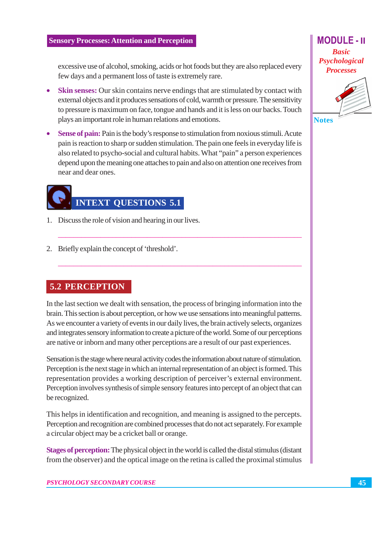excessive use of alcohol, smoking, acids or hot foods but they are also replaced every few days and a permanent loss of taste is extremely rare.

- Skin senses: Our skin contains nerve endings that are stimulated by contact with external objects and it produces sensations of cold, warmth or pressure. The sensitivity to pressure is maximum on face, tongue and hands and it is less on our backs. Touch plays an important role in human relations and emotions.
- Sense of pain: Pain is the body's response to stimulation from noxious stimuli. Acute pain is reaction to sharp or sudden stimulation. The pain one feels in everyday life is also related to psycho-social and cultural habits. What "pain" a person experiences depend upon the meaning one attaches to pain and also on attention one receives from near and dear ones.

# **INTEXT QUESTIONS 5.1**

- 1. Discuss the role of vision and hearing in our lives.
- 2. Briefly explain the concept of 'threshold'.

#### **5.2 PERCEPTION**

In the last section we dealt with sensation, the process of bringing information into the brain. This section is about perception, or how we use sensations into meaningful patterns. As we encounter a variety of events in our daily lives, the brain actively selects, organizes and integrates sensory information to create a picture of the world. Some of our perceptions are native or inborn and many other perceptions are a result of our past experiences.

Sensation is the stage where neural activity codes the information about nature of stimulation. Perception is the next stage in which an internal representation of an object is formed. This representation provides a working description of perceiver's external environment. Perception involves synthesis of simple sensory features into percept of an object that can be recognized.

This helps in identification and recognition, and meaning is assigned to the percepts. Perception and recognition are combined processes that do not act separately. For example a circular object may be a cricket ball or orange.

**Stages of perception:** The physical object in the world is called the distal stimulus (distant from the observer) and the optical image on the retina is called the proximal stimulus

#### **PSYCHOLOGY SECONDARY COURSE**

**Basic** Psychological **Processes** 

**MODULE-II** 



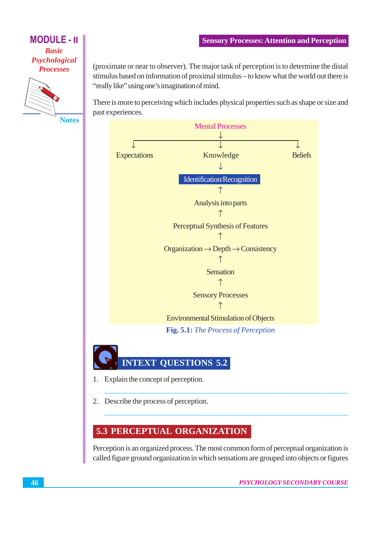## **MODULE - II Basic** Psychological **Processes**



**Notes** 

(proximate or near to observer). The major task of perception is to determine the distal stimulus based on information of proximal stimulus – to know what the world out there is "really like" using one's imagination of mind.

There is more to perceiving which includes physical properties such as shape or size and past experiences.



## **INTEXT QUESTIONS 5.2**

- 1. Explain the concept of perception.
- 2. Describe the process of perception.

## 5.3 PERCEPTUAL ORGANIZATION

Perception is an organized process. The most common form of perceptual organization is called figure ground organization in which sensations are grouped into objects or figures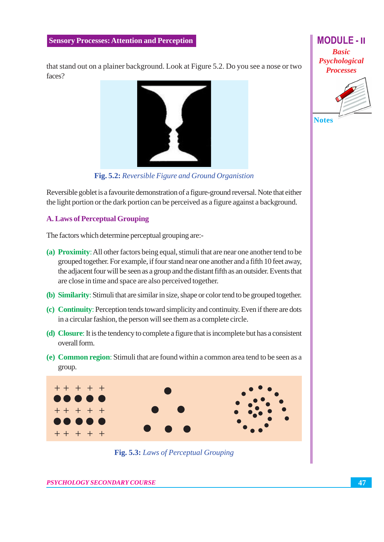that stand out on a plainer background. Look at Figure 5.2. Do you see a nose or two faces?



Fig. 5.2: Reversible Figure and Ground Organistion

Reversible goblet is a favourite demonstration of a figure-ground reversal. Note that either the light portion or the dark portion can be perceived as a figure against a background.

#### **A. Laws of Perceptual Grouping**

The factors which determine perceptual grouping are:-

- (a) Proximity: All other factors being equal, stimuli that are near one another tend to be grouped together. For example, if four stand near one another and a fifth 10 feet away, the adjacent four will be seen as a group and the distant fifth as an outsider. Events that are close in time and space are also perceived together.
- (b) Similarity: Stimuli that are similar in size, shape or color tend to be grouped together.
- (c) Continuity: Perception tends toward simplicity and continuity. Even if there are dots in a circular fashion, the person will see them as a complete circle.
- (d) Closure: It is the tendency to complete a figure that is incomplete but has a consistent overall form
- (e) Common region: Stimuli that are found within a common area tend to be seen as a group.



Fig. 5.3: Laws of Perceptual Grouping

**MODULE - II Basic** Psychological **Processes** 

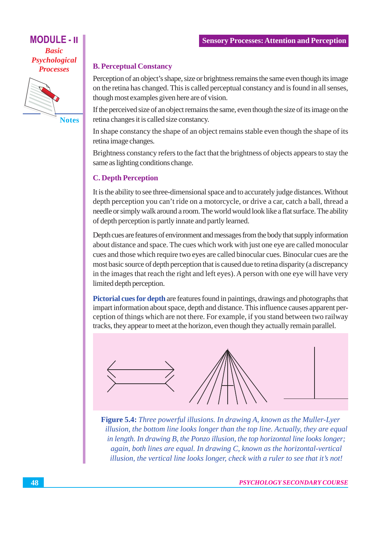## **MODULE - II Basic** Psychological

**Processes** 



**Notes** 

#### **B. Perceptual Constancy**

Perception of an object's shape, size or brightness remains the same even though its image on the retina has changed. This is called perceptual constancy and is found in all senses, though most examples given here are of vision.

If the perceived size of an object remains the same, even though the size of its image on the retina changes it is called size constancy.

In shape constancy the shape of an object remains stable even though the shape of its retina image changes.

Brightness constancy refers to the fact that the brightness of objects appears to stay the same as lighting conditions change.

#### **C. Depth Perception**

It is the ability to see three-dimensional space and to accurately judge distances. Without depth perception you can't ride on a motorcycle, or drive a car, catch a ball, thread a needle or simply walk around a room. The world would look like a flat surface. The ability of depth perception is partly innate and partly learned.

Depth cues are features of environment and messages from the body that supply information about distance and space. The cues which work with just one eye are called monocular cues and those which require two eyes are called binocular cues. Binocular cues are the most basic source of depth perception that is caused due to retina disparity (a discrepancy in the images that reach the right and left eyes). A person with one eye will have very limited depth perception.

Pictorial cues for depth are features found in paintings, drawings and photographs that impart information about space, depth and distance. This influence causes apparent perception of things which are not there. For example, if you stand between two railway tracks, they appear to meet at the horizon, even though they actually remain parallel.



Figure 5.4: Three powerful illusions. In drawing A, known as the Muller-Lyer illusion, the bottom line looks longer than the top line. Actually, they are equal in length. In drawing B, the Ponzo illusion, the top horizontal line looks longer; again, both lines are equal. In drawing  $C$ , known as the horizontal-vertical illusion, the vertical line looks longer, check with a ruler to see that it's not!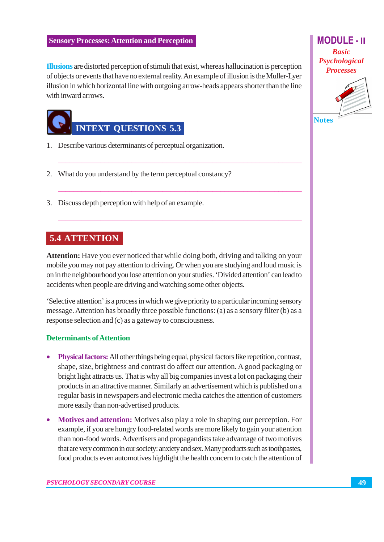Illusions are distorted perception of stimuli that exist, whereas hallucination is perception of objects or events that have no external reality. An example of illusion is the Muller-Lyer illusion in which horizontal line with outgoing arrow-heads appears shorter than the line with inward arrows.



- 1. Describe various determinants of perceptual organization.
- 2. What do you understand by the term perceptual constancy?
- 3. Discuss depth perception with help of an example.

## **5.4 ATTENTION**

**Attention:** Have you ever noticed that while doing both, driving and talking on your mobile you may not pay attention to driving. Or when you are studying and loud music is on in the neighbourhood you lose attention on your studies. 'Divided attention' can lead to accidents when people are driving and watching some other objects.

'Selective attention' is a process in which we give priority to a particular incoming sensory message. Attention has broadly three possible functions: (a) as a sensory filter (b) as a response selection and (c) as a gateway to consciousness.

#### **Determinants of Attention**

- **Physical factors:** All other things being equal, physical factors like repetition, contrast, shape, size, brightness and contrast do affect our attention. A good packaging or bright light attracts us. That is why all big companies invest a lot on packaging their products in an attractive manner. Similarly an advertisement which is published on a regular basis in newspapers and electronic media catches the attention of customers more easily than non-advertised products.
- Motives and attention: Motives also play a role in shaping our perception. For example, if you are hungry food-related words are more likely to gain your attention than non-food words. Advertisers and propagandists take advantage of two motives that are very common in our society: anxiety and sex. Many products such as toothpastes. food products even automotives highlight the health concern to catch the attention of

**MODULE-II** 

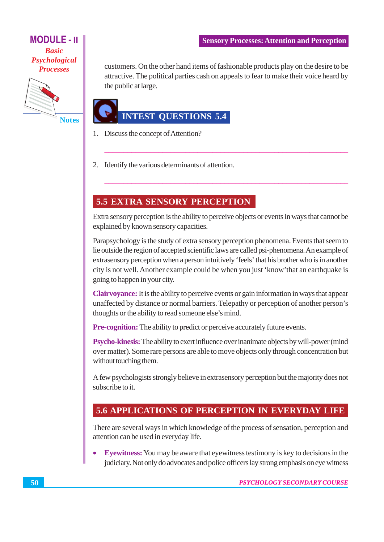



**Notes** 

customers. On the other hand items of fashionable products play on the desire to be attractive. The political parties cash on appeals to fear to make their voice heard by the public at large.

## **INTEST QUESTIONS 5.4**

- 1. Discuss the concept of Attention?
- 2. Identify the various determinants of attention.

## **5.5 EXTRA SENSORY PERCEPTION**

Extra sensory perception is the ability to perceive objects or events in ways that cannot be explained by known sensory capacities.

Parapsychology is the study of extra sensory perception phenomena. Events that seem to lie outside the region of accepted scientific laws are called psi-phenomena. An example of extrasensory perception when a person intuitively 'feels' that his brother who is in another city is not well. Another example could be when you just 'know' that an earthquake is going to happen in your city.

**Clairvoyance:** It is the ability to perceive events or gain information in ways that appear unaffected by distance or normal barriers. Telepathy or perception of another person's thoughts or the ability to read someone else's mind.

**Pre-cognition:** The ability to predict or perceive accurately future events.

**Psycho-kinesis:** The ability to exert influence over inanimate objects by will-power (mind over matter). Some rare persons are able to move objects only through concentration but without touching them.

A few psychologists strongly believe in extrasensory perception but the majority does not subscribe to it

### **5.6 APPLICATIONS OF PERCEPTION IN EVERYDAY LIFE**

There are several ways in which knowledge of the process of sensation, perception and attention can be used in everyday life.

Eyewitness: You may be aware that eyewitness testimony is key to decisions in the judiciary. Not only do advocates and police officers lay strong emphasis on eye witness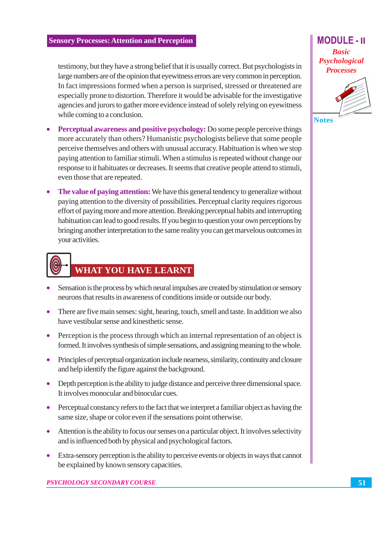testimony, but they have a strong belief that it is usually correct. But psychologists in large numbers are of the opinion that evewitness errors are very common in perception. In fact impressions formed when a person is surprised, stressed or threatened are especially prone to distortion. Therefore it would be advisable for the investigative agencies and jurors to gather more evidence instead of solely relying on eyewitness while coming to a conclusion.

- **Perceptual awareness and positive psychology:** Do some people perceive things more accurately than others? Humanistic psychologists believe that some people perceive themselves and others with unusual accuracy. Habituation is when we stop paying attention to familiar stimuli. When a stimulus is repeated without change our response to it habituates or decreases. It seems that creative people attend to stimuli, even those that are repeated.
- **The value of paying attention:** We have this general tendency to generalize without paying attention to the diversity of possibilities. Perceptual clarity requires rigorous effort of paying more and more attention. Breaking perceptual habits and interrupting habituation can lead to good results. If you begin to question your own perceptions by bringing another interpretation to the same reality you can get marvelous outcomes in vour activities.

# **WHAT YOU HAVE LEARNT**

- Sensation is the process by which neural impulses are created by stimulation or sensory neurons that results in awareness of conditions inside or outside our body.
- There are five main senses: sight, hearing, touch, smell and taste. In addition we also have vestibular sense and kinesthetic sense.
- Perception is the process through which an internal representation of an object is formed. It involves synthesis of simple sensations, and assigning meaning to the whole.
- Principles of perceptual organization include nearness, similarity, continuity and closure and help identify the figure against the background.
- Depth perception is the ability to judge distance and perceive three dimensional space. It involves monocular and binocular cues.
- Perceptual constancy refers to the fact that we interpret a familiar object as having the same size, shape or color even if the sensations point otherwise.
- Attention is the ability to focus our senses on a particular object. It involves selectivity and is influenced both by physical and psychological factors.
- Extra-sensory perception is the ability to perceive events or objects in ways that cannot  $\bullet$ be explained by known sensory capacities.

**PSYCHOLOGY SECONDARY COURSE** 

#### **MODULE - II Basic** Psychological **Processes**



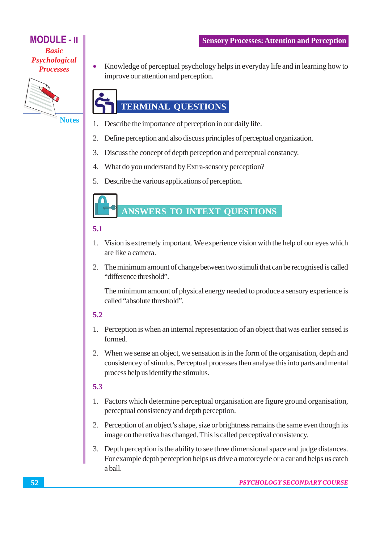## **MODULE - II**

**Basic** Psychological **Processes** 



**Notes** 

Knowledge of perceptual psychology helps in everyday life and in learning how to improve our attention and perception.

## **TERMINAL QUESTIONS**

- Describe the importance of perception in our daily life. 1.
- 2. Define perception and also discuss principles of perceptual organization.
- $\overline{3}$ . Discuss the concept of depth perception and perceptual constancy.
- What do you understand by Extra-sensory perception?  $\overline{4}$ .
- 5. Describe the various applications of perception.

## ANSWERS TO INTEXT QUESTIONS

#### $5.1$

- 1. Vision is extremely important. We experience vision with the help of our eyes which are like a camera.
- 2. The minimum amount of change between two stimuli that can be recognised is called "difference threshold".

The minimum amount of physical energy needed to produce a sensory experience is called "absolute threshold"

#### $5.2$

- 1. Perception is when an internal representation of an object that was earlier sensed is formed.
- 2. When we sense an object, we sensation is in the form of the organisation, depth and consistencey of stinulus. Perceptual processes then analyse this into parts and mental process help us identify the stimulus.

#### 5.3

- 1. Factors which determine perceptual organisation are figure ground organisation, perceptual consistency and depth perception.
- 2. Perception of an object's shape, size or brightness remains the same even though its image on the retiva has changed. This is called perceptival consistency.
- 3. Depth perception is the ability to see three dimensional space and judge distances. For example depth perception helps us drive a motorcycle or a car and helps us catch a ball.